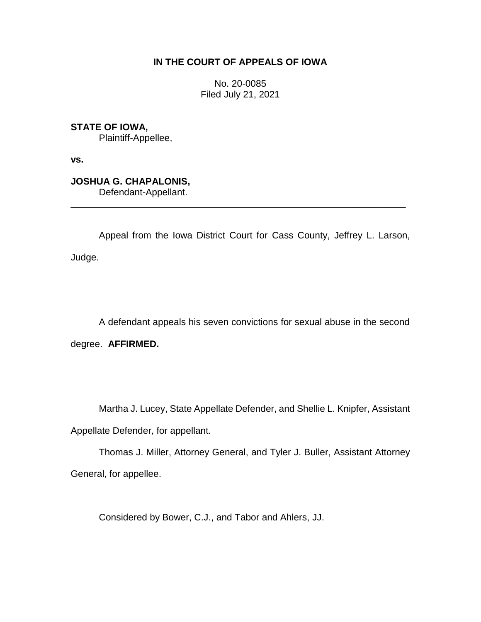# **IN THE COURT OF APPEALS OF IOWA**

No. 20-0085 Filed July 21, 2021

**STATE OF IOWA,**

Plaintiff-Appellee,

**vs.**

**JOSHUA G. CHAPALONIS,** Defendant-Appellant.

Appeal from the Iowa District Court for Cass County, Jeffrey L. Larson, Judge.

\_\_\_\_\_\_\_\_\_\_\_\_\_\_\_\_\_\_\_\_\_\_\_\_\_\_\_\_\_\_\_\_\_\_\_\_\_\_\_\_\_\_\_\_\_\_\_\_\_\_\_\_\_\_\_\_\_\_\_\_\_\_\_\_

A defendant appeals his seven convictions for sexual abuse in the second degree. **AFFIRMED.**

Martha J. Lucey, State Appellate Defender, and Shellie L. Knipfer, Assistant

Appellate Defender, for appellant.

Thomas J. Miller, Attorney General, and Tyler J. Buller, Assistant Attorney General, for appellee.

Considered by Bower, C.J., and Tabor and Ahlers, JJ.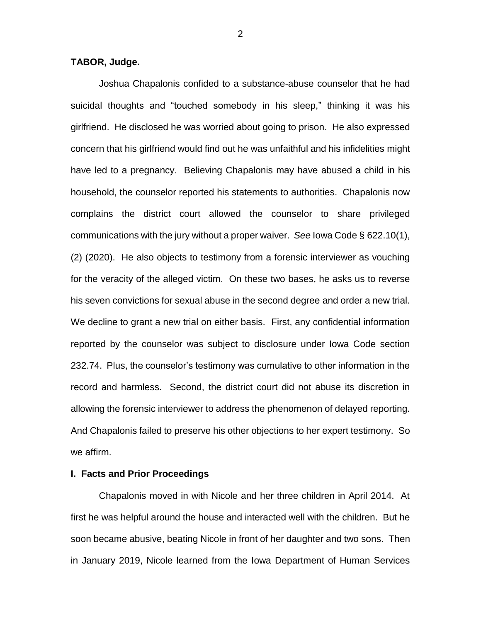#### **TABOR, Judge.**

Joshua Chapalonis confided to a substance-abuse counselor that he had suicidal thoughts and "touched somebody in his sleep," thinking it was his girlfriend. He disclosed he was worried about going to prison. He also expressed concern that his girlfriend would find out he was unfaithful and his infidelities might have led to a pregnancy. Believing Chapalonis may have abused a child in his household, the counselor reported his statements to authorities. Chapalonis now complains the district court allowed the counselor to share privileged communications with the jury without a proper waiver. *See* Iowa Code § 622.10(1), (2) (2020). He also objects to testimony from a forensic interviewer as vouching for the veracity of the alleged victim. On these two bases, he asks us to reverse his seven convictions for sexual abuse in the second degree and order a new trial. We decline to grant a new trial on either basis. First, any confidential information reported by the counselor was subject to disclosure under Iowa Code section 232.74. Plus, the counselor's testimony was cumulative to other information in the record and harmless. Second, the district court did not abuse its discretion in allowing the forensic interviewer to address the phenomenon of delayed reporting. And Chapalonis failed to preserve his other objections to her expert testimony. So we affirm.

#### **I. Facts and Prior Proceedings**

Chapalonis moved in with Nicole and her three children in April 2014. At first he was helpful around the house and interacted well with the children. But he soon became abusive, beating Nicole in front of her daughter and two sons. Then in January 2019, Nicole learned from the Iowa Department of Human Services

2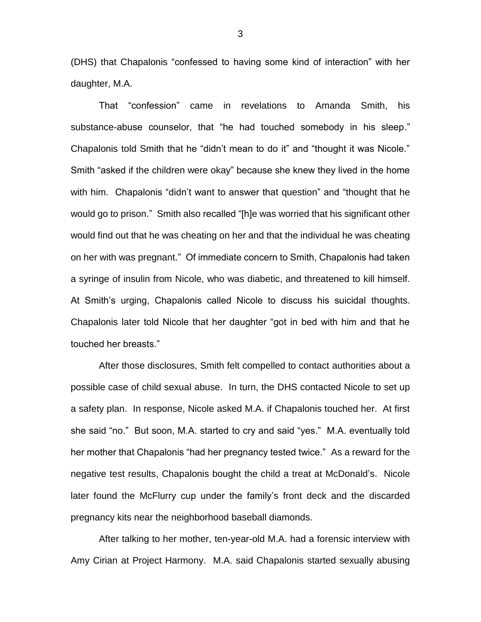(DHS) that Chapalonis "confessed to having some kind of interaction" with her daughter, M.A.

That "confession" came in revelations to Amanda Smith, his substance-abuse counselor, that "he had touched somebody in his sleep." Chapalonis told Smith that he "didn't mean to do it" and "thought it was Nicole." Smith "asked if the children were okay" because she knew they lived in the home with him. Chapalonis "didn't want to answer that question" and "thought that he would go to prison." Smith also recalled "[h]e was worried that his significant other would find out that he was cheating on her and that the individual he was cheating on her with was pregnant." Of immediate concern to Smith, Chapalonis had taken a syringe of insulin from Nicole, who was diabetic, and threatened to kill himself. At Smith's urging, Chapalonis called Nicole to discuss his suicidal thoughts. Chapalonis later told Nicole that her daughter "got in bed with him and that he touched her breasts."

After those disclosures, Smith felt compelled to contact authorities about a possible case of child sexual abuse. In turn, the DHS contacted Nicole to set up a safety plan. In response, Nicole asked M.A. if Chapalonis touched her. At first she said "no." But soon, M.A. started to cry and said "yes." M.A. eventually told her mother that Chapalonis "had her pregnancy tested twice." As a reward for the negative test results, Chapalonis bought the child a treat at McDonald's. Nicole later found the McFlurry cup under the family's front deck and the discarded pregnancy kits near the neighborhood baseball diamonds.

After talking to her mother, ten-year-old M.A. had a forensic interview with Amy Cirian at Project Harmony. M.A. said Chapalonis started sexually abusing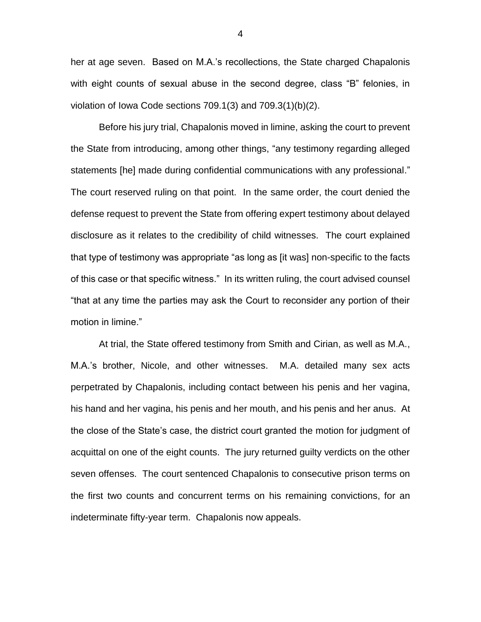her at age seven. Based on M.A.'s recollections, the State charged Chapalonis with eight counts of sexual abuse in the second degree, class "B" felonies, in violation of Iowa Code sections 709.1(3) and 709.3(1)(b)(2).

Before his jury trial, Chapalonis moved in limine, asking the court to prevent the State from introducing, among other things, "any testimony regarding alleged statements [he] made during confidential communications with any professional." The court reserved ruling on that point. In the same order, the court denied the defense request to prevent the State from offering expert testimony about delayed disclosure as it relates to the credibility of child witnesses. The court explained that type of testimony was appropriate "as long as [it was] non-specific to the facts of this case or that specific witness." In its written ruling, the court advised counsel "that at any time the parties may ask the Court to reconsider any portion of their motion in limine."

At trial, the State offered testimony from Smith and Cirian, as well as M.A., M.A.'s brother, Nicole, and other witnesses. M.A. detailed many sex acts perpetrated by Chapalonis, including contact between his penis and her vagina, his hand and her vagina, his penis and her mouth, and his penis and her anus. At the close of the State's case, the district court granted the motion for judgment of acquittal on one of the eight counts. The jury returned guilty verdicts on the other seven offenses. The court sentenced Chapalonis to consecutive prison terms on the first two counts and concurrent terms on his remaining convictions, for an indeterminate fifty-year term. Chapalonis now appeals.

4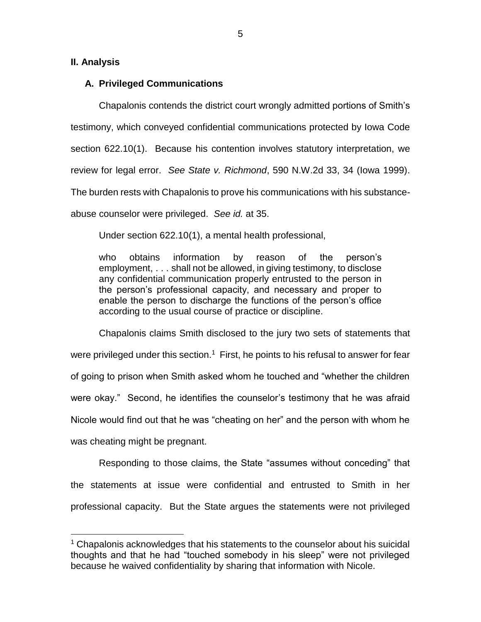#### **II. Analysis**

 $\overline{a}$ 

### **A. Privileged Communications**

Chapalonis contends the district court wrongly admitted portions of Smith's testimony, which conveyed confidential communications protected by Iowa Code section 622.10(1). Because his contention involves statutory interpretation, we review for legal error. *See State v. Richmond*, 590 N.W.2d 33, 34 (Iowa 1999). The burden rests with Chapalonis to prove his communications with his substanceabuse counselor were privileged. *See id.* at 35.

Under section 622.10(1), a mental health professional,

who obtains information by reason of the person's employment, . . . shall not be allowed, in giving testimony, to disclose any confidential communication properly entrusted to the person in the person's professional capacity, and necessary and proper to enable the person to discharge the functions of the person's office according to the usual course of practice or discipline.

Chapalonis claims Smith disclosed to the jury two sets of statements that were privileged under this section.<sup>1</sup> First, he points to his refusal to answer for fear of going to prison when Smith asked whom he touched and "whether the children were okay." Second, he identifies the counselor's testimony that he was afraid Nicole would find out that he was "cheating on her" and the person with whom he was cheating might be pregnant.

Responding to those claims, the State "assumes without conceding" that the statements at issue were confidential and entrusted to Smith in her professional capacity. But the State argues the statements were not privileged

<sup>&</sup>lt;sup>1</sup> Chapalonis acknowledges that his statements to the counselor about his suicidal thoughts and that he had "touched somebody in his sleep" were not privileged because he waived confidentiality by sharing that information with Nicole.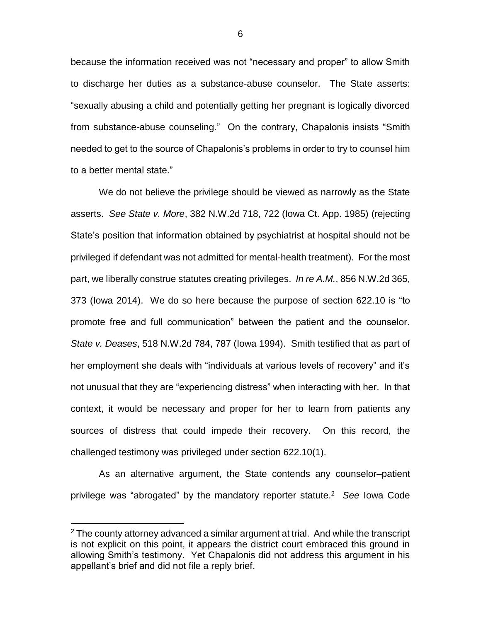because the information received was not "necessary and proper" to allow Smith to discharge her duties as a substance-abuse counselor. The State asserts: "sexually abusing a child and potentially getting her pregnant is logically divorced from substance-abuse counseling." On the contrary, Chapalonis insists "Smith needed to get to the source of Chapalonis's problems in order to try to counsel him to a better mental state."

We do not believe the privilege should be viewed as narrowly as the State asserts. *See State v. More*, 382 N.W.2d 718, 722 (Iowa Ct. App. 1985) (rejecting State's position that information obtained by psychiatrist at hospital should not be privileged if defendant was not admitted for mental-health treatment). For the most part, we liberally construe statutes creating privileges. *In re A.M.*, 856 N.W.2d 365, 373 (Iowa 2014). We do so here because the purpose of section 622.10 is "to promote free and full communication" between the patient and the counselor. *State v. Deases*, 518 N.W.2d 784, 787 (Iowa 1994). Smith testified that as part of her employment she deals with "individuals at various levels of recovery" and it's not unusual that they are "experiencing distress" when interacting with her. In that context, it would be necessary and proper for her to learn from patients any sources of distress that could impede their recovery. On this record, the challenged testimony was privileged under section 622.10(1).

As an alternative argument, the State contends any counselor–patient privilege was "abrogated" by the mandatory reporter statute. 2 *See* Iowa Code

 $\overline{a}$ 

 $2$  The county attorney advanced a similar argument at trial. And while the transcript is not explicit on this point, it appears the district court embraced this ground in allowing Smith's testimony. Yet Chapalonis did not address this argument in his appellant's brief and did not file a reply brief.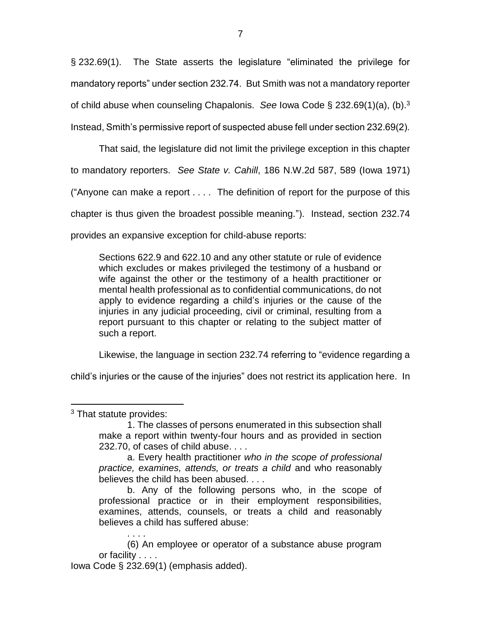§ 232.69(1). The State asserts the legislature "eliminated the privilege for mandatory reports" under section 232.74. But Smith was not a mandatory reporter of child abuse when counseling Chapalonis. *See* Iowa Code § 232.69(1)(a), (b).<sup>3</sup> Instead, Smith's permissive report of suspected abuse fell under section 232.69(2).

That said, the legislature did not limit the privilege exception in this chapter to mandatory reporters. *See State v. Cahill*, 186 N.W.2d 587, 589 (Iowa 1971) ("Anyone can make a report . . . . The definition of report for the purpose of this chapter is thus given the broadest possible meaning."). Instead, section 232.74 provides an expansive exception for child-abuse reports:

Sections 622.9 and 622.10 and any other statute or rule of evidence which excludes or makes privileged the testimony of a husband or wife against the other or the testimony of a health practitioner or mental health professional as to confidential communications, do not apply to evidence regarding a child's injuries or the cause of the injuries in any judicial proceeding, civil or criminal, resulting from a report pursuant to this chapter or relating to the subject matter of such a report.

Likewise, the language in section 232.74 referring to "evidence regarding a

child's injuries or the cause of the injuries" does not restrict its application here. In

 $\overline{a}$ 

(6) An employee or operator of a substance abuse program or facility . . . .

Iowa Code § 232.69(1) (emphasis added).

<sup>3</sup> That statute provides:

<sup>1.</sup> The classes of persons enumerated in this subsection shall make a report within twenty-four hours and as provided in section 232.70, of cases of child abuse. . . .

a. Every health practitioner *who in the scope of professional practice, examines, attends, or treats a child* and who reasonably believes the child has been abused. . . .

b. Any of the following persons who, in the scope of professional practice or in their employment responsibilities, examines, attends, counsels, or treats a child and reasonably believes a child has suffered abuse: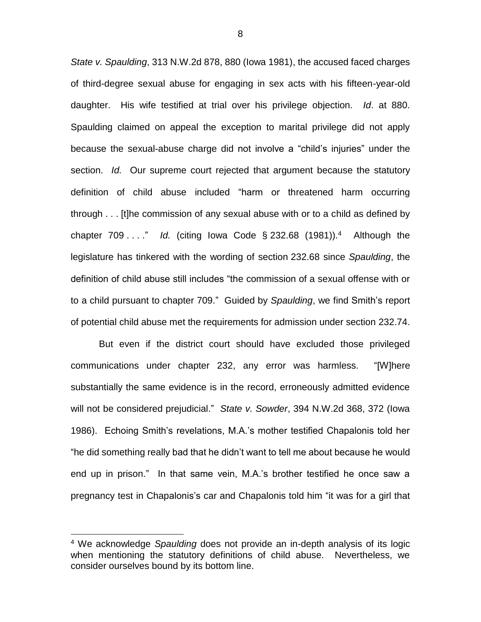*State v. Spaulding*, 313 N.W.2d 878, 880 (Iowa 1981), the accused faced charges of third-degree sexual abuse for engaging in sex acts with his fifteen-year-old daughter. His wife testified at trial over his privilege objection. *Id*. at 880. Spaulding claimed on appeal the exception to marital privilege did not apply because the sexual-abuse charge did not involve a "child's injuries" under the section. *Id.* Our supreme court rejected that argument because the statutory definition of child abuse included "harm or threatened harm occurring through . . . [t]he commission of any sexual abuse with or to a child as defined by chapter 709 . . . ." *Id.* (citing Iowa Code § 232.68 (1981)).<sup>4</sup> Although the legislature has tinkered with the wording of section 232.68 since *Spaulding*, the definition of child abuse still includes "the commission of a sexual offense with or to a child pursuant to chapter 709." Guided by *Spaulding*, we find Smith's report of potential child abuse met the requirements for admission under section 232.74.

But even if the district court should have excluded those privileged communications under chapter 232, any error was harmless. "[W]here substantially the same evidence is in the record, erroneously admitted evidence will not be considered prejudicial." *State v. Sowder*, 394 N.W.2d 368, 372 (Iowa 1986). Echoing Smith's revelations, M.A.'s mother testified Chapalonis told her "he did something really bad that he didn't want to tell me about because he would end up in prison." In that same vein, M.A.'s brother testified he once saw a pregnancy test in Chapalonis's car and Chapalonis told him "it was for a girl that

 $\overline{a}$ 

<sup>4</sup> We acknowledge *Spaulding* does not provide an in-depth analysis of its logic when mentioning the statutory definitions of child abuse. Nevertheless, we consider ourselves bound by its bottom line.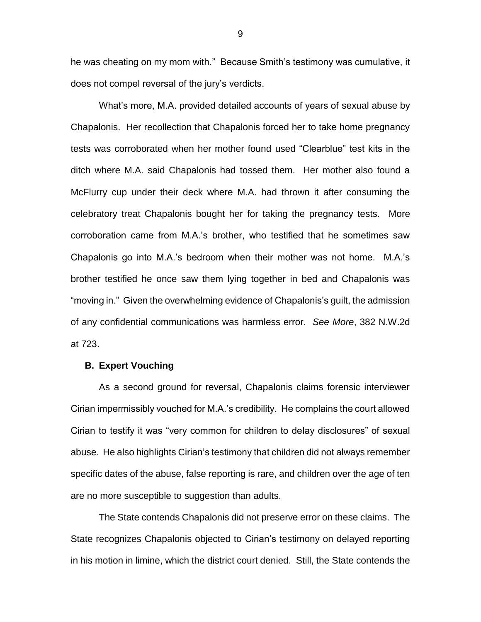he was cheating on my mom with." Because Smith's testimony was cumulative, it does not compel reversal of the jury's verdicts.

What's more, M.A. provided detailed accounts of years of sexual abuse by Chapalonis. Her recollection that Chapalonis forced her to take home pregnancy tests was corroborated when her mother found used "Clearblue" test kits in the ditch where M.A. said Chapalonis had tossed them. Her mother also found a McFlurry cup under their deck where M.A. had thrown it after consuming the celebratory treat Chapalonis bought her for taking the pregnancy tests. More corroboration came from M.A.'s brother, who testified that he sometimes saw Chapalonis go into M.A.'s bedroom when their mother was not home. M.A.'s brother testified he once saw them lying together in bed and Chapalonis was "moving in." Given the overwhelming evidence of Chapalonis's guilt, the admission of any confidential communications was harmless error. *See More*, 382 N.W.2d at 723.

#### **B. Expert Vouching**

As a second ground for reversal, Chapalonis claims forensic interviewer Cirian impermissibly vouched for M.A.'s credibility. He complains the court allowed Cirian to testify it was "very common for children to delay disclosures" of sexual abuse. He also highlights Cirian's testimony that children did not always remember specific dates of the abuse, false reporting is rare, and children over the age of ten are no more susceptible to suggestion than adults.

The State contends Chapalonis did not preserve error on these claims. The State recognizes Chapalonis objected to Cirian's testimony on delayed reporting in his motion in limine, which the district court denied. Still, the State contends the

9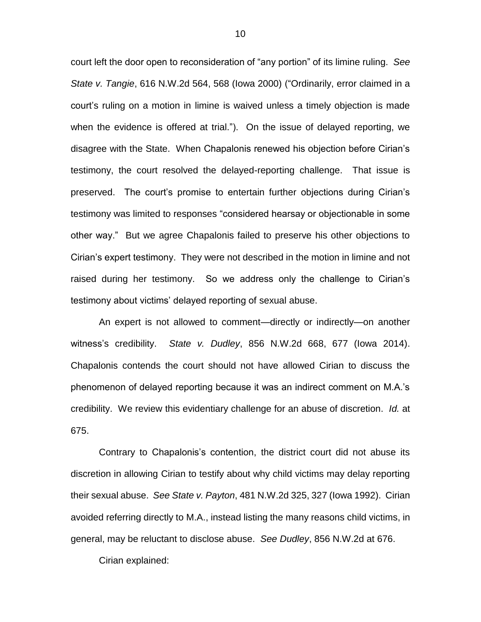court left the door open to reconsideration of "any portion" of its limine ruling. *See State v. Tangie*, 616 N.W.2d 564, 568 (Iowa 2000) ("Ordinarily, error claimed in a court's ruling on a motion in limine is waived unless a timely objection is made when the evidence is offered at trial."). On the issue of delayed reporting, we disagree with the State. When Chapalonis renewed his objection before Cirian's testimony, the court resolved the delayed-reporting challenge. That issue is preserved. The court's promise to entertain further objections during Cirian's testimony was limited to responses "considered hearsay or objectionable in some other way." But we agree Chapalonis failed to preserve his other objections to Cirian's expert testimony. They were not described in the motion in limine and not raised during her testimony. So we address only the challenge to Cirian's testimony about victims' delayed reporting of sexual abuse.

An expert is not allowed to comment—directly or indirectly—on another witness's credibility. *State v. Dudley*, 856 N.W.2d 668, 677 (Iowa 2014). Chapalonis contends the court should not have allowed Cirian to discuss the phenomenon of delayed reporting because it was an indirect comment on M.A.'s credibility. We review this evidentiary challenge for an abuse of discretion. *Id.* at 675.

Contrary to Chapalonis's contention, the district court did not abuse its discretion in allowing Cirian to testify about why child victims may delay reporting their sexual abuse. *See State v. Payton*, 481 N.W.2d 325, 327 (Iowa 1992). Cirian avoided referring directly to M.A., instead listing the many reasons child victims, in general, may be reluctant to disclose abuse. *See Dudley*, 856 N.W.2d at 676.

Cirian explained: